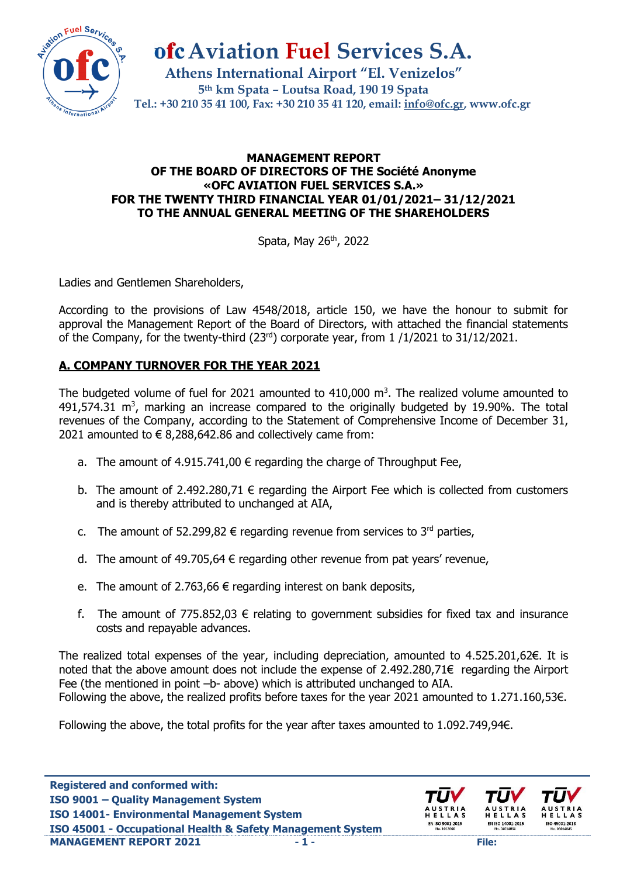

**Aviation Fuel Services S.A.**

**Athens International Airport "El. Venizelos" 5th km Spata – Loutsa Road, 190 19 Spata Tel.: +30 210 35 41 100, Fax: +30 210 35 41 120, email: [info@ofc.gr,](mailto:info@ofc.gr) www.ofc.gr**

#### **MANAGEMENT REPORT OF THE BOARD OF DIRECTORS OF THE Société Anonyme «ΟFC AVIATION FUEL SERVICES S.A.» FOR THE TWENTY THIRD FINANCIAL YEAR 01/01/2021– 31/12/2021 TO THE ANNUAL GENERAL MEETING OF THE SHAREHOLDERS**

Spata, May 26<sup>th</sup>, 2022

Ladies and Gentlemen Shareholders,

According to the provisions of Law 4548/2018, article 150, we have the honour to submit for approval the Management Report of the Board of Directors, with attached the financial statements of the Company, for the twenty-third  $(23^{rd})$  corporate year, from 1  $/1/2021$  to 31/12/2021.

## **Α. COMPANY TURNOVER FOR THE YEAR 2021**

The budgeted volume of fuel for 2021 amounted to  $410,000$  m<sup>3</sup>. The realized volume amounted to  $491,574.31$  m<sup>3</sup>, marking an increase compared to the originally budgeted by 19.90%. The total revenues of the Company, according to the Statement of Comprehensive Income of December 31, 2021 amounted to  $\epsilon$  8,288,642.86 and collectively came from:

- a. The amount of 4.915.741,00  $\epsilon$  regarding the charge of Throughput Fee,
- b. The amount of 2.492.280,71  $\epsilon$  regarding the Airport Fee which is collected from customers and is thereby attributed to unchanged at AIA,
- c. The amount of 52.299,82  $\epsilon$  regarding revenue from services to 3<sup>rd</sup> parties,
- d. The amount of 49.705,64  $\epsilon$  regarding other revenue from pat years' revenue,
- e. The amount of 2.763,66  $\epsilon$  regarding interest on bank deposits,
- f. The amount of 775.852,03  $\epsilon$  relating to government subsidies for fixed tax and insurance costs and repayable advances.

The realized total expenses of the year, including depreciation, amounted to 4.525.201,62€. It is noted that the above amount does not include the expense of 2.492.280,71€ regarding the Airport Fee (the mentioned in point –b- above) which is attributed unchanged to AIA. Following the above, the realized profits before taxes for the year 2021 amounted to 1.271.160,53€.

Following the above, the total profits for the year after taxes amounted to 1.092.749,94€.

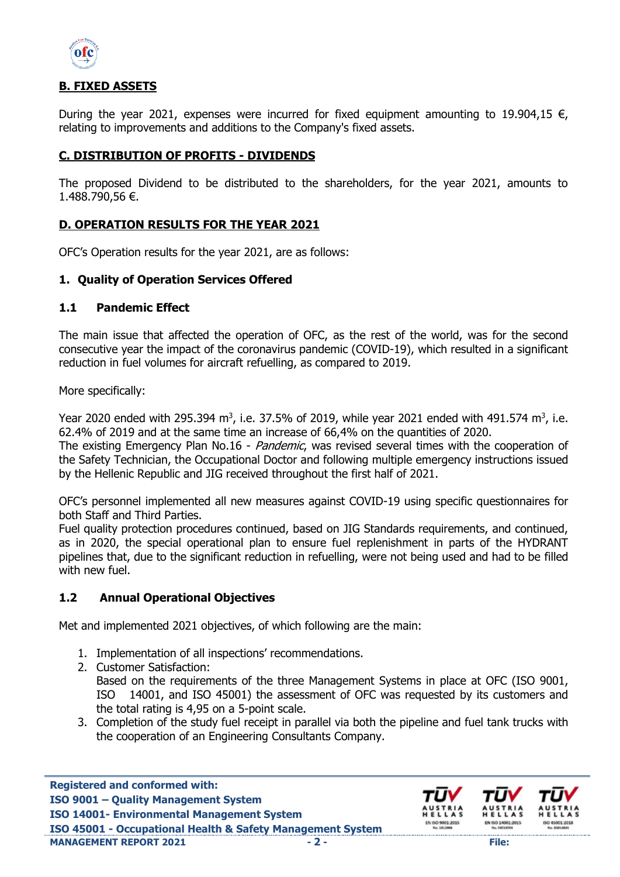

## **Β. FIXED ASSETS**

During the year 2021, expenses were incurred for fixed equipment amounting to 19.904,15  $\epsilon$ , relating to improvements and additions to the Company's fixed assets.

### **C. DISTRIBUTION OF PROFITS - DIVIDENDS**

The proposed Dividend to be distributed to the shareholders, for the year 2021, amounts to 1.488.790,56 €.

### **D. OPERATION RESULTS FOR THE YEAR 2021**

OFC's Operation results for the year 2021, are as follows:

#### **1. Quality of Operation Services Offered**

#### **1.1 Pandemic Effect**

The main issue that affected the operation of OFC, as the rest of the world, was for the second consecutive year the impact of the coronavirus pandemic (COVID-19), which resulted in a significant reduction in fuel volumes for aircraft refuelling, as compared to 2019.

More specifically:

Year 2020 ended with 295.394 m<sup>3</sup>, i.e. 37.5% of 2019, while year 2021 ended with 491.574 m<sup>3</sup>, i.e. 62.4% of 2019 and at the same time an increase of 66,4% on the quantities of 2020.

The existing Emergency Plan No.16 - Pandemic, was revised several times with the cooperation of the Safety Technician, the Occupational Doctor and following multiple emergency instructions issued by the Hellenic Republic and JIG received throughout the first half of 2021.

OFC's personnel implemented all new measures against COVID-19 using specific questionnaires for both Staff and Third Parties.

Fuel quality protection procedures continued, based on JIG Standards requirements, and continued, as in 2020, the special operational plan to ensure fuel replenishment in parts of the HYDRANT pipelines that, due to the significant reduction in refuelling, were not being used and had to be filled with new fuel.

### **1.2 Annual Operational Objectives**

Met and implemented 2021 objectives, of which following are the main:

- 1. Implementation of all inspections' recommendations.
- 2. Customer Satisfaction: Based on the requirements of the three Management Systems in place at OFC (ISO 9001, ISO 14001, and ISO 45001) the assessment of OFC was requested by its customers and the total rating is 4,95 on a 5-point scale.
- 3. Completion of the study fuel receipt in parallel via both the pipeline and fuel tank trucks with the cooperation of an Engineering Consultants Company.

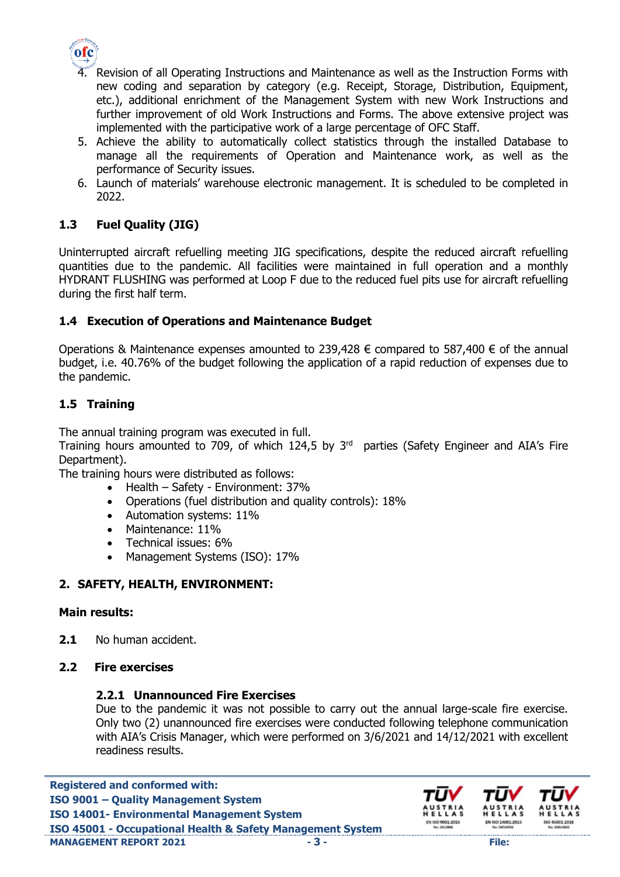

- 4. Revision of all Operating Instructions and Maintenance as well as the Instruction Forms with new coding and separation by category (e.g. Receipt, Storage, Distribution, Equipment, etc.), additional enrichment of the Management System with new Work Instructions and further improvement of old Work Instructions and Forms. The above extensive project was implemented with the participative work of a large percentage of OFC Staff.
- 5. Achieve the ability to automatically collect statistics through the installed Database to manage all the requirements of Operation and Maintenance work, as well as the performance of Security issues.
- 6. Launch of materials' warehouse electronic management. It is scheduled to be completed in 2022.

# **1.3 Fuel Quality (JIG)**

Uninterrupted aircraft refuelling meeting JIG specifications, despite the reduced aircraft refuelling quantities due to the pandemic. All facilities were maintained in full operation and a monthly HYDRANT FLUSHING was performed at Loop F due to the reduced fuel pits use for aircraft refuelling during the first half term.

### **1.4 Execution of Operations and Maintenance Budget**

Operations & Maintenance expenses amounted to 239,428 € compared to 587,400 € of the annual budget, i.e. 40.76% of the budget following the application of a rapid reduction of expenses due to the pandemic.

## **1.5 Training**

The annual training program was executed in full.

Training hours amounted to 709, of which  $124,5$  by  $3<sup>rd</sup>$  parties (Safety Engineer and AIA's Fire Department).

The training hours were distributed as follows:

- Health Safety Environment: 37%
- Operations (fuel distribution and quality controls): 18%
- Automation systems: 11%
- Maintenance: 11%
- Technical issues: 6%
- Management Systems (ISO): 17%

## **2. SAFETY, HEALTH, ENVIRONMENT:**

### **Main results:**

**2.1** No human accident.

### **2.2 Fire exercises**

### **2.2.1 Unannounced Fire Exercises**

Due to the pandemic it was not possible to carry out the annual large-scale fire exercise. Only two (2) unannounced fire exercises were conducted following telephone communication with AIA's Crisis Manager, which were performed on 3/6/2021 and 14/12/2021 with excellent readiness results.

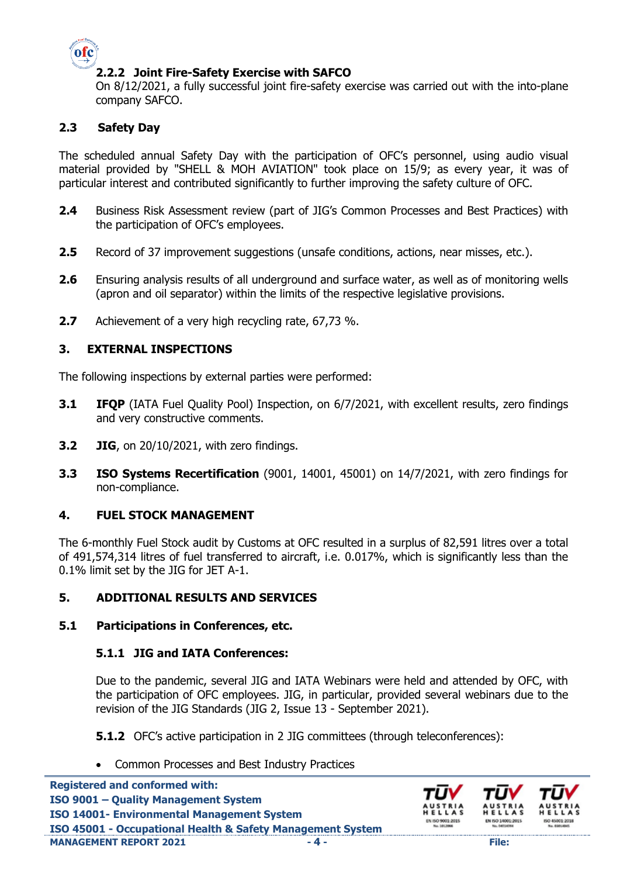

### **2.2.2 Joint Fire-Safety Exercise with SAFCO**

On 8/12/2021, a fully successful joint fire-safety exercise was carried out with the into-plane company SAFCO.

## **2.3 Safety Day**

The scheduled annual Safety Day with the participation of OFC's personnel, using audio visual material provided by "SHELL & MOH AVIATION" took place on 15/9; as every year, it was of particular interest and contributed significantly to further improving the safety culture of OFC.

- **2.4** Business Risk Assessment review (part of JIG's Common Processes and Best Practices) with the participation of OFC's employees.
- **2.5** Record of 37 improvement suggestions (unsafe conditions, actions, near misses, etc.).
- **2.6** Ensuring analysis results of all underground and surface water, as well as of monitoring wells (apron and oil separator) within the limits of the respective legislative provisions.
- **2.7** Achievement of a very high recycling rate, 67,73 %.

### **3. EXTERNAL INSPECTIONS**

The following inspections by external parties were performed:

- **3.1 IFQP** (IATA Fuel Quality Pool) Inspection, on 6/7/2021, with excellent results, zero findings and very constructive comments.
- **3.2 JIG**, on 20/10/2021, with zero findings.
- **3.3 ISO Systems Recertification** (9001, 14001, 45001) on 14/7/2021, with zero findings for non-compliance.

### **4. FUEL STOCK MANAGEMENT**

The 6-monthly Fuel Stock audit by Customs at OFC resulted in a surplus of 82,591 litres over a total of 491,574,314 litres of fuel transferred to aircraft, i.e. 0.017%, which is significantly less than the 0.1% limit set by the JIG for JET A-1.

### **5. ADDITIONAL RESULTS AND SERVICES**

#### **5.1 Participations in Conferences, etc.**

#### **5.1.1 JIG and ΙΑΤΑ Conferences:**

Due to the pandemic, several JIG and IATA Webinars were held and attended by OFC, with the participation of OFC employees. JIG, in particular, provided several webinars due to the revision of the JIG Standards (JIG 2, Issue 13 - September 2021).

**5.1.2** OFC's active participation in 2 JIG committees (through teleconferences):

• Common Processes and Best Industry Practices

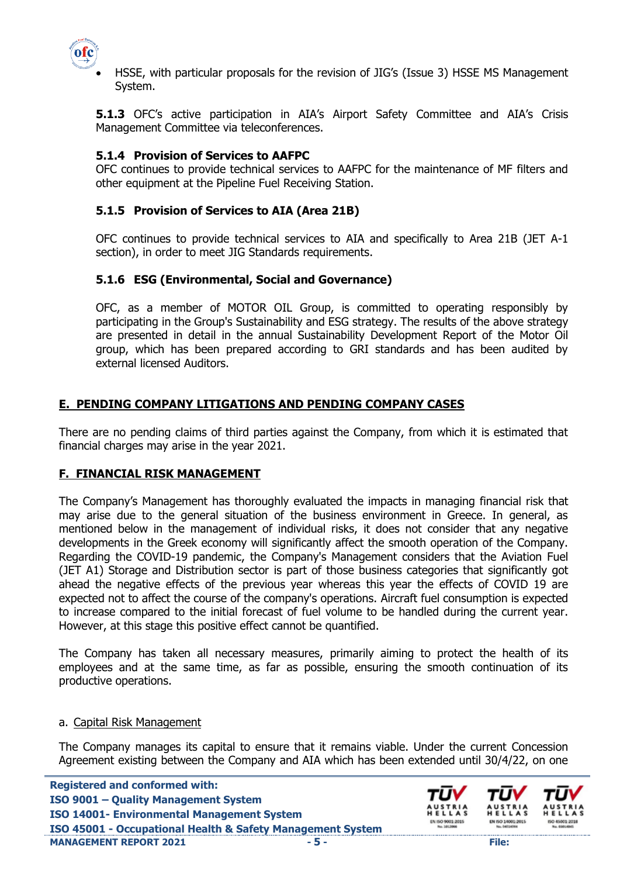

 HSSE, with particular proposals for the revision of JIG's (Issue 3) HSSE MS Management System.

**5.1.3** OFC's active participation in AIA's Airport Safety Committee and AIA's Crisis Management Committee via teleconferences.

### **5.1.4 Provision of Services to AAFPC**

OFC continues to provide technical services to AAFPC for the maintenance of MF filters and other equipment at the Pipeline Fuel Receiving Station.

## **5.1.5 Provision of Services to AIA (Area 21Β)**

OFC continues to provide technical services to AIA and specifically to Area 21B (JET A-1 section), in order to meet JIG Standards requirements.

### **5.1.6 ESG (Environmental, Social and Governance)**

OFC, as a member of MOTOR OIL Group, is committed to operating responsibly by participating in the Group's Sustainability and ESG strategy. The results of the above strategy are presented in detail in the annual Sustainability Development Report of the Motor Oil group, which has been prepared according to GRI standards and has been audited by external licensed Auditors.

### **Ε. PENDING COMPANY LITIGATIONS AND PENDING COMPANY CASES**

There are no pending claims of third parties against the Company, from which it is estimated that financial charges may arise in the year 2021.

### **F. FINANCIAL RISK MANAGEMENT**

The Company's Management has thoroughly evaluated the impacts in managing financial risk that may arise due to the general situation of the business environment in Greece. In general, as mentioned below in the management of individual risks, it does not consider that any negative developments in the Greek economy will significantly affect the smooth operation of the Company. Regarding the COVID-19 pandemic, the Company's Management considers that the Aviation Fuel (JET A1) Storage and Distribution sector is part of those business categories that significantly got ahead the negative effects of the previous year whereas this year the effects of COVID 19 are expected not to affect the course of the company's operations. Aircraft fuel consumption is expected to increase compared to the initial forecast of fuel volume to be handled during the current year. However, at this stage this positive effect cannot be quantified.

The Company has taken all necessary measures, primarily aiming to protect the health of its employees and at the same time, as far as possible, ensuring the smooth continuation of its productive operations.

#### a. Capital Risk Management

The Company manages its capital to ensure that it remains viable. Under the current Concession Agreement existing between the Company and AIA which has been extended until 30/4/22, on one

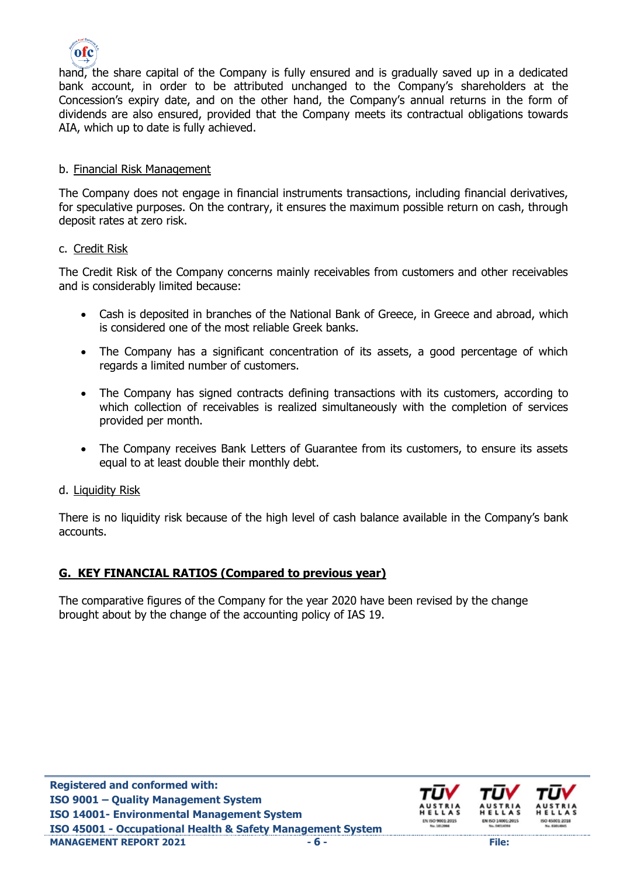

hand, the share capital of the Company is fully ensured and is gradually saved up in a dedicated bank account, in order to be attributed unchanged to the Company's shareholders at the Concession's expiry date, and on the other hand, the Company's annual returns in the form of dividends are also ensured, provided that the Company meets its contractual obligations towards AIA, which up to date is fully achieved.

### b. Financial Risk Management

The Company does not engage in financial instruments transactions, including financial derivatives, for speculative purposes. On the contrary, it ensures the maximum possible return on cash, through deposit rates at zero risk.

#### c. Credit Risk

The Credit Risk of the Company concerns mainly receivables from customers and other receivables and is considerably limited because:

- Cash is deposited in branches of the National Bank of Greece, in Greece and abroad, which is considered one of the most reliable Greek banks.
- The Company has a significant concentration of its assets, a good percentage of which regards a limited number of customers.
- The Company has signed contracts defining transactions with its customers, according to which collection of receivables is realized simultaneously with the completion of services provided per month.
- The Company receives Bank Letters of Guarantee from its customers, to ensure its assets equal to at least double their monthly debt.

### d. Liquidity Risk

There is no liquidity risk because of the high level of cash balance available in the Company's bank accounts.

### **G. KEY FINANCIAL RATIOS (Compared to previous year)**

The comparative figures of the Company for the year 2020 have been revised by the change brought about by the change of the accounting policy of IAS 19.

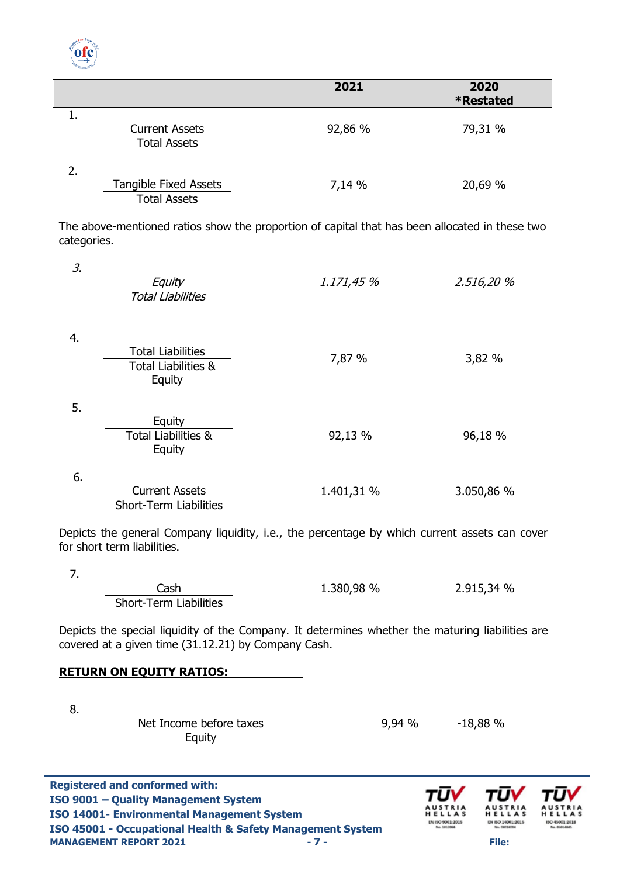

|    |                              | 2021    | 2020<br><b>*Restated</b> |
|----|------------------------------|---------|--------------------------|
|    |                              |         |                          |
|    |                              |         |                          |
|    | <b>Current Assets</b>        | 92,86 % | 79,31 %                  |
|    | <b>Total Assets</b>          |         |                          |
| 2. |                              |         |                          |
|    | <b>Tangible Fixed Assets</b> | 7,14 %  | 20,69 %                  |
|    | <b>Total Assets</b>          |         |                          |
|    |                              |         |                          |

The above-mentioned ratios show the proportion of capital that has been allocated in these two categories.

| 3. | Equity<br><b>Total Liabilities</b>                                   | 1.171,45 % | 2.516,20 % |
|----|----------------------------------------------------------------------|------------|------------|
| 4. | <b>Total Liabilities</b><br><b>Total Liabilities &amp;</b><br>Equity | 7,87 %     | 3,82 %     |
| 5. | Equity<br><b>Total Liabilities &amp;</b><br>Equity                   | 92,13 %    | 96,18 %    |
| 6. | <b>Current Assets</b><br><b>Short-Term Liabilities</b>               | 1.401,31 % | 3.050,86 % |

Depicts the general Company liquidity, i.e., the percentage by which current assets can cover for short term liabilities.

7.

Cash Short-Term Liabilities 1.380,98 % 2.915,34 %

Depicts the special liquidity of the Company. It determines whether the maturing liabilities are covered at a given time (31.12.21) by Company Cash.

#### **RETURN ON EQUITY RATIOS:**

8.

Net Income before taxes Equity

9,94 % -18,88 %

**Registered and conformed with: ISO 9001 – Quality Management System ISO 14001- Environmental Management System ISO 45001 - Occupational Health & Safety Management System MANAGEMENT REPORT 2021 - 7 - File:**

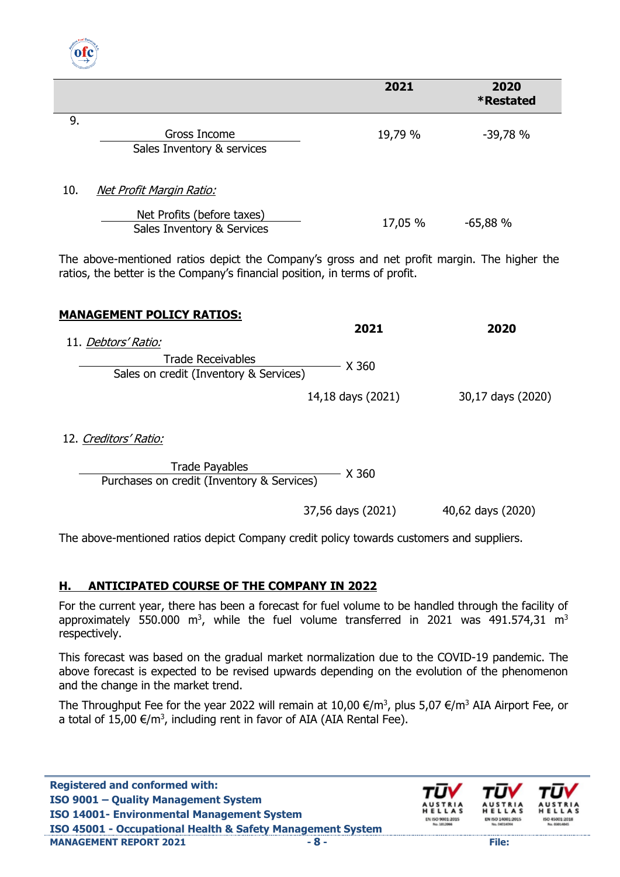

|     |                                                          | 2021    | 2020<br><b>*Restated</b> |  |
|-----|----------------------------------------------------------|---------|--------------------------|--|
| 9.  |                                                          |         |                          |  |
|     | Gross Income                                             | 19,79 % | $-39,78%$                |  |
|     | Sales Inventory & services                               |         |                          |  |
| 10. | <u>Net Profit Margin Ratio:</u>                          |         |                          |  |
|     | Net Profits (before taxes)<br>Sales Inventory & Services | 17,05 % | $-65,88%$                |  |

The above-mentioned ratios depict the Company's gross and net profit margin. The higher the ratios, the better is the Company's financial position, in terms of profit.

| <b>MANAGEMENT POLICY RATIOS:</b>                                   |                   |                   |  |
|--------------------------------------------------------------------|-------------------|-------------------|--|
|                                                                    | 2021              | 2020              |  |
| 11. Debtors' Ratio:                                                |                   |                   |  |
| <b>Trade Receivables</b><br>Sales on credit (Inventory & Services) | X 360             |                   |  |
|                                                                    | 14,18 days (2021) | 30,17 days (2020) |  |
|                                                                    |                   |                   |  |

12. Creditors' Ratio:

Trade Payables<br>Purchases on credit (Inventory & Services) X 360

37,56 days (2021) 40,62 days (2020)

The above-mentioned ratios depict Company credit policy towards customers and suppliers.

## **Η. ANTICIPATED COURSE OF THE COMPANY IN 2022**

For the current year, there has been a forecast for fuel volume to be handled through the facility of approximately 550.000 m<sup>3</sup>, while the fuel volume transferred in 2021 was 491.574,31 m<sup>3</sup> respectively.

This forecast was based on the gradual market normalization due to the COVID-19 pandemic. The above forecast is expected to be revised upwards depending on the evolution of the phenomenon and the change in the market trend.

The Throughput Fee for the year 2022 will remain at 10,00  $\epsilon/m^3$ , plus 5,07  $\epsilon/m^3$  AIA Airport Fee, or a total of 15,00  $\epsilon/m^3$ , including rent in favor of AIA (AIA Rental Fee).